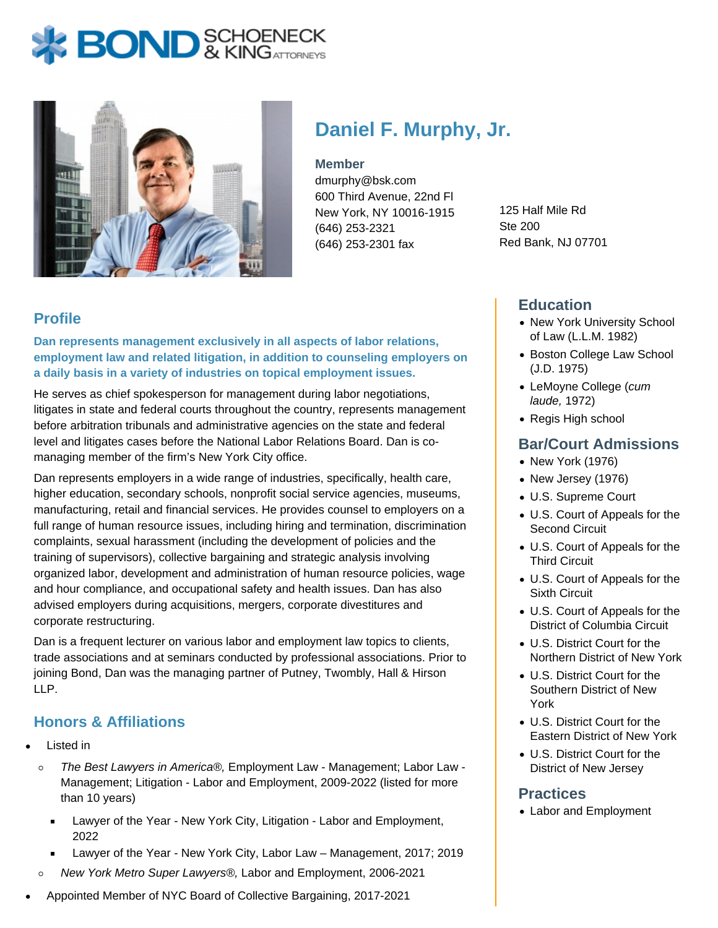# **BOND** & KINGATTORNECK



# **Daniel F. Murphy, Jr.**

#### **Member**

dmurphy@bsk.com 600 Third Avenue, 22nd Fl New York, NY 10016-1915 (646) 253-2321 (646) 253-2301 fax

125 Half Mile Rd Ste 200 Red Bank, NJ 07701

### **Profile**

**Dan represents management exclusively in all aspects of labor relations, employment law and related litigation, in addition to counseling employers on a daily basis in a variety of industries on topical employment issues.**

He serves as chief spokesperson for management during labor negotiations, litigates in state and federal courts throughout the country, represents management before arbitration tribunals and administrative agencies on the state and federal level and litigates cases before the National Labor Relations Board. Dan is comanaging member of the firm's New York City office.

Dan represents employers in a wide range of industries, specifically, health care, higher education, secondary schools, nonprofit social service agencies, museums, manufacturing, retail and financial services. He provides counsel to employers on a full range of human resource issues, including hiring and termination, discrimination complaints, sexual harassment (including the development of policies and the training of supervisors), collective bargaining and strategic analysis involving organized labor, development and administration of human resource policies, wage and hour compliance, and occupational safety and health issues. Dan has also advised employers during acquisitions, mergers, corporate divestitures and corporate restructuring.

Dan is a frequent lecturer on various labor and employment law topics to clients, trade associations and at seminars conducted by professional associations. Prior to joining Bond, Dan was the managing partner of Putney, Twombly, Hall & Hirson LLP.

### **Honors & Affiliations**

- Listed in
	- $\circ$ The Best Lawyers in America®, Employment Law - Management; Labor Law - Management; Litigation - Labor and Employment, 2009-2022 (listed for more than 10 years)
		- Lawyer of the Year New York City, Litigation Labor and Employment,  $\blacksquare$ 2022
		- Lawyer of the Year New York City, Labor Law Management, 2017; 2019
	- New York Metro Super Lawyers®, Labor and Employment, 2006-2021  $\circ$
- Appointed Member of NYC Board of Collective Bargaining, 2017-2021

#### **Education**

- New York University School of Law (L.L.M. 1982)
- Boston College Law School (J.D. 1975)
- LeMoyne College (cum laude, 1972)
- Regis High school

#### **Bar/Court Admissions**

- New York (1976)
- New Jersey (1976)
- U.S. Supreme Court
- U.S. Court of Appeals for the Second Circuit
- U.S. Court of Appeals for the Third Circuit
- U.S. Court of Appeals for the Sixth Circuit
- U.S. Court of Appeals for the District of Columbia Circuit
- U.S. District Court for the Northern District of New York
- U.S. District Court for the Southern District of New York
- U.S. District Court for the Eastern District of New York
- U.S. District Court for the District of New Jersey

#### **Practices**

Labor and Employment